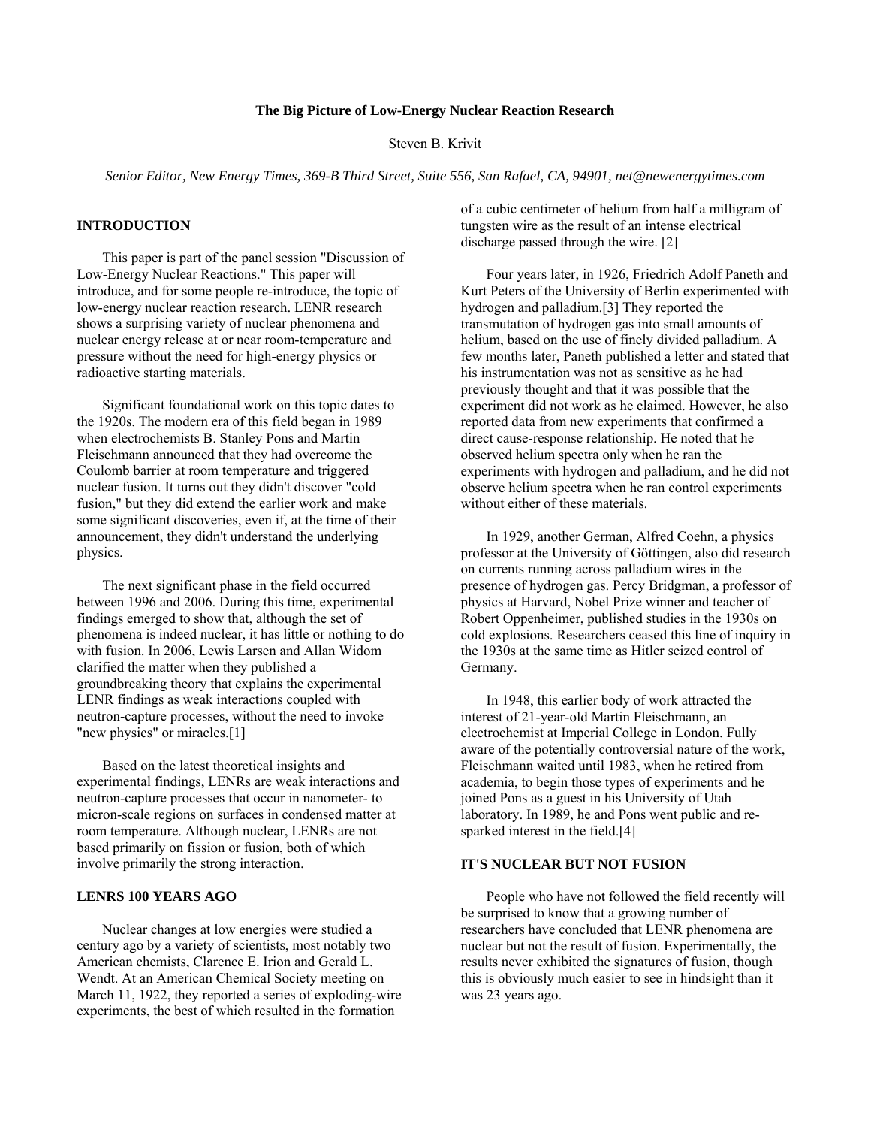## **The Big Picture of Low-Energy Nuclear Reaction Research**

Steven B. Krivit

*Senior Editor, New Energy Times, 369-B Third Street, Suite 556, San Rafael, CA, 94901, net@newenergytimes.com* 

### **INTRODUCTION**

This paper is part of the panel session "Discussion of Low-Energy Nuclear Reactions." This paper will introduce, and for some people re-introduce, the topic of low-energy nuclear reaction research. LENR research shows a surprising variety of nuclear phenomena and nuclear energy release at or near room-temperature and pressure without the need for high-energy physics or radioactive starting materials.

Significant foundational work on this topic dates to the 1920s. The modern era of this field began in 1989 when electrochemists B. Stanley Pons and Martin Fleischmann announced that they had overcome the Coulomb barrier at room temperature and triggered nuclear fusion. It turns out they didn't discover "cold fusion," but they did extend the earlier work and make some significant discoveries, even if, at the time of their announcement, they didn't understand the underlying physics.

The next significant phase in the field occurred between 1996 and 2006. During this time, experimental findings emerged to show that, although the set of phenomena is indeed nuclear, it has little or nothing to do with fusion. In 2006, Lewis Larsen and Allan Widom clarified the matter when they published a groundbreaking theory that explains the experimental LENR findings as weak interactions coupled with neutron-capture processes, without the need to invoke "new physics" or miracles.[1]

Based on the latest theoretical insights and experimental findings, LENRs are weak interactions and neutron-capture processes that occur in nanometer- to micron-scale regions on surfaces in condensed matter at room temperature. Although nuclear, LENRs are not based primarily on fission or fusion, both of which involve primarily the strong interaction.

#### **LENRS 100 YEARS AGO**

Nuclear changes at low energies were studied a century ago by a variety of scientists, most notably two American chemists, Clarence E. Irion and Gerald L. Wendt. At an American Chemical Society meeting on March 11, 1922, they reported a series of exploding-wire experiments, the best of which resulted in the formation

of a cubic centimeter of helium from half a milligram of tungsten wire as the result of an intense electrical discharge passed through the wire. [2]

Four years later, in 1926, Friedrich Adolf Paneth and Kurt Peters of the University of Berlin experimented with hydrogen and palladium.[3] They reported the transmutation of hydrogen gas into small amounts of helium, based on the use of finely divided palladium. A few months later, Paneth published a letter and stated that his instrumentation was not as sensitive as he had previously thought and that it was possible that the experiment did not work as he claimed. However, he also reported data from new experiments that confirmed a direct cause-response relationship. He noted that he observed helium spectra only when he ran the experiments with hydrogen and palladium, and he did not observe helium spectra when he ran control experiments without either of these materials.

In 1929, another German, Alfred Coehn, a physics professor at the University of Göttingen, also did research on currents running across palladium wires in the presence of hydrogen gas. Percy Bridgman, a professor of physics at Harvard, Nobel Prize winner and teacher of Robert Oppenheimer, published studies in the 1930s on cold explosions. Researchers ceased this line of inquiry in the 1930s at the same time as Hitler seized control of Germany.

In 1948, this earlier body of work attracted the interest of 21-year-old Martin Fleischmann, an electrochemist at Imperial College in London. Fully aware of the potentially controversial nature of the work, Fleischmann waited until 1983, when he retired from academia, to begin those types of experiments and he joined Pons as a guest in his University of Utah laboratory. In 1989, he and Pons went public and resparked interest in the field.[4]

## **IT'S NUCLEAR BUT NOT FUSION**

People who have not followed the field recently will be surprised to know that a growing number of researchers have concluded that LENR phenomena are nuclear but not the result of fusion. Experimentally, the results never exhibited the signatures of fusion, though this is obviously much easier to see in hindsight than it was 23 years ago.